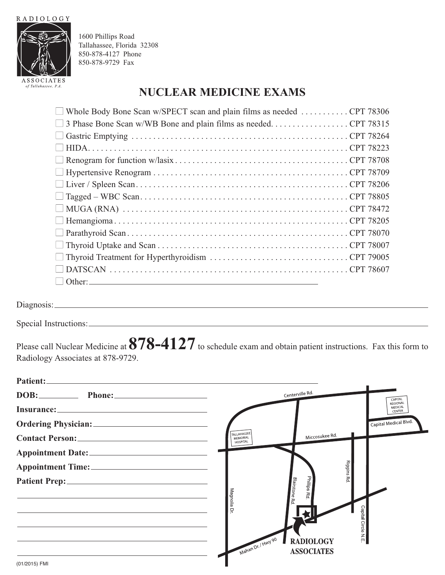**RADIOLOGY** 



1600 Phillips Road Tallahassee, Florida 32308 850-878-4127 Phone 850-878-9729 Fax

## **NUCLEAR MEDICINE EXAMS**

| $\Box$ Whole Body Bone Scan w/SPECT scan and plain films as needed  CPT 78306 |  |
|-------------------------------------------------------------------------------|--|
|                                                                               |  |
|                                                                               |  |
|                                                                               |  |
|                                                                               |  |
|                                                                               |  |
|                                                                               |  |
|                                                                               |  |
|                                                                               |  |
|                                                                               |  |
|                                                                               |  |
|                                                                               |  |
|                                                                               |  |
|                                                                               |  |
|                                                                               |  |

Diagnosis:

Special Instructions:

Please call Nuclear Medicine at**878-4127**to schedule exam and obtain patient instructions. Fax this form to Radiology Associates at 878-9729.

| Patient: No. 2014                                                                                                                                                                                                              |                                                       |                                      |
|--------------------------------------------------------------------------------------------------------------------------------------------------------------------------------------------------------------------------------|-------------------------------------------------------|--------------------------------------|
| DOB: Phone: Phone:                                                                                                                                                                                                             | Centerville Rd.                                       | CAPITAL                              |
|                                                                                                                                                                                                                                |                                                       | <b>REGIONAL</b><br>MEDICAL<br>CENTER |
| Ordering Physician: 2008 2014 2022 2023 2024 2022 2023 2024 2022 2023 2024 2022 2023 2024 2025 2026 2027 2028 2027 2028 2027 2028 2027 2028 2029 2027 2028 2027 2028 2027 2028 2027 2028 2027 2028 2027 2028 2027 2028 2029 20 |                                                       | Capital Medical Blvd.                |
|                                                                                                                                                                                                                                | TALLAHASSEE<br>Miccosukee Rd.<br>MEMORIAL<br>HOSPITAL |                                      |
|                                                                                                                                                                                                                                |                                                       |                                      |
| Appointment Time:                                                                                                                                                                                                              | Riggins Rd.                                           |                                      |
|                                                                                                                                                                                                                                | Phillips Rd.                                          |                                      |
| <u> 1989 - Johann Stoff, deutscher Stoff, der Stoff, der Stoff, der Stoff, der Stoff, der Stoff, der Stoff, der S</u>                                                                                                          | <b>Blairstone Rd.</b><br>Magnolia                     |                                      |
|                                                                                                                                                                                                                                | 무                                                     |                                      |
|                                                                                                                                                                                                                                | Capital Circle N E                                    |                                      |
|                                                                                                                                                                                                                                | <b>RADIOLOGY</b>                                      |                                      |
|                                                                                                                                                                                                                                | Mahan Dr. / Hwy 90<br><b>ASSOCIATES</b>               |                                      |
| (01/2015) FMI                                                                                                                                                                                                                  |                                                       |                                      |